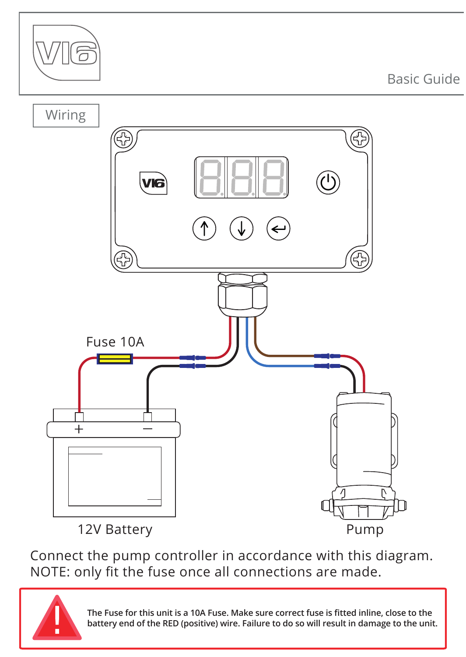

Connect the pump controller in accordance with this diagram. NOTE: only fit the fuse once all connections are made.



**The Fuse for this unit is a 10A Fuse. Make sure correct fuse is fitted inline, close to the battery end of the RED (positive) wire. Failure to do so will result in damage to the unit.**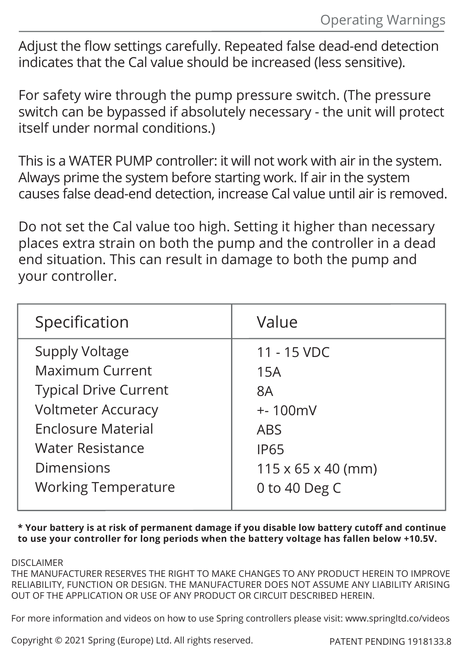Adjust the flow settings carefully. Repeated false dead-end detection indicates that the Cal value should be increased (less sensitive).

For safety wire through the pump pressure switch. (The pressure switch can be bypassed if absolutely necessary - the unit will protect itself under normal conditions.)

This is a WATER PUMP controller: it will not work with air in the system. Always prime the system before starting work. If air in the system causes false dead-end detection, increase Cal value until air is removed.

Do not set the Cal value too high. Setting it higher than necessary places extra strain on both the pump and the controller in a dead end situation. This can result in damage to both the pump and your controller.

| Specification                | Value                          |
|------------------------------|--------------------------------|
| Supply Voltage               | 11 - 15 VDC                    |
| Maximum Current              | 15A                            |
| <b>Typical Drive Current</b> | 8A                             |
| <b>Voltmeter Accuracy</b>    | $+ - 100$ mV                   |
| <b>Enclosure Material</b>    | <b>ARS</b>                     |
| Water Resistance             | <b>IP65</b>                    |
| Dimensions                   | $115 \times 65 \times 40$ (mm) |
| <b>Working Temperature</b>   | 0 to 40 Deg C                  |

**\* Your battery is at risk of permanent damage if you disable low battery cutoff and continue to use your controller for long periods when the battery voltage has fallen below +10.5V.** 

DISCLAIMER

THE MANUFACTURER RESERVES THE RIGHT TO MAKE CHANGES TO ANY PRODUCT HEREIN TO IMPROVE RELIABILITY, FUNCTION OR DESIGN. THE MANUFACTURER DOES NOT ASSUME ANY LIABILITY ARISING OUT OF THE APPLICATION OR USE OF ANY PRODUCT OR CIRCUIT DESCRIBED HEREIN.

For more information and videos on how to use Spring controllers please visit: www.springltd.co/videos

Copyright © 2021 Spring (Europe) Ltd. All rights reserved. PATENT PENDING 1918133.8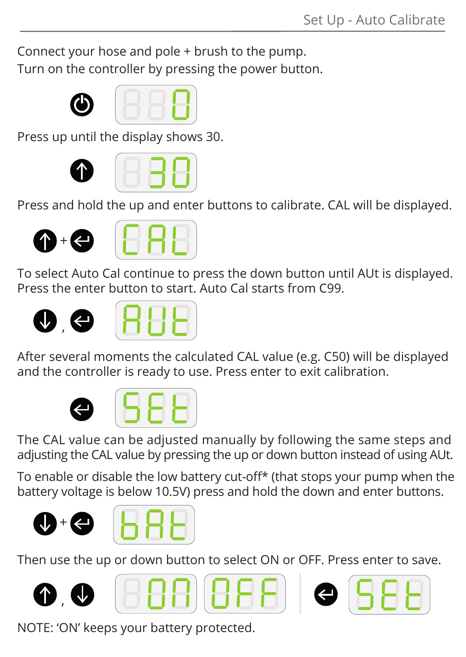Connect your hose and pole + brush to the pump. Turn on the controller by pressing the power button.





Press up until the display shows 30.





Press and hold the up and enter buttons to calibrate. CAL will be displayed.





To select Auto Cal continue to press the down button until AUt is displayed. Press the enter button to start. Auto Cal starts from C99.





After several moments the calculated CAL value (e.g. C50) will be displayed and the controller is ready to use. Press enter to exit calibration.





The CAL value can be adjusted manually by following the same steps and adjusting the CAL value by pressing the up or down button instead of using AUt.

To enable or disable the low battery cut-off\* (that stops your pump when the battery voltage is below 10.5V) press and hold the down and enter buttons.





Then use the up or down button to select ON or OFF. Press enter to save.











NOTE: 'ON' keeps your battery protected.